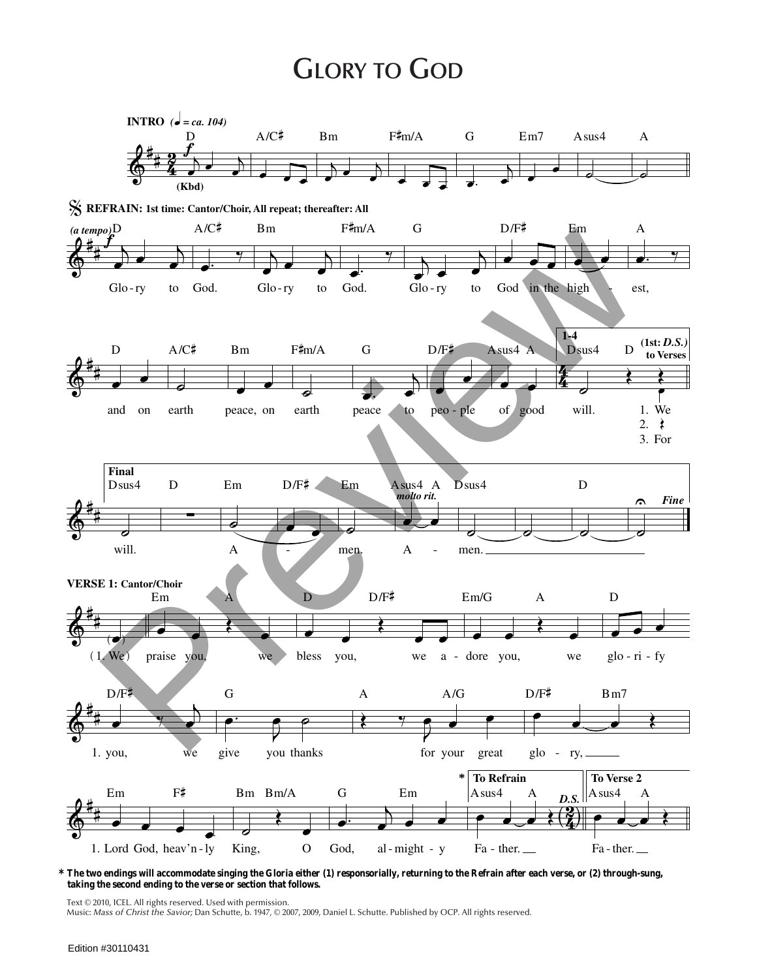## **GLORY TO GOD**



## \* The two endings will accommodate singing the Gloria either (1) responsorially, returning to the Refrain after each verse, or (2) through-sung, taking the second ending to the verse or section that follows.

Text © 2010, ICEL. All rights reserved. Used with permission.

Music: Mass of Christ the Savior; Dan Schutte, b. 1947, © 2007, 2009, Daniel L. Schutte. Published by OCP. All rights reserved.